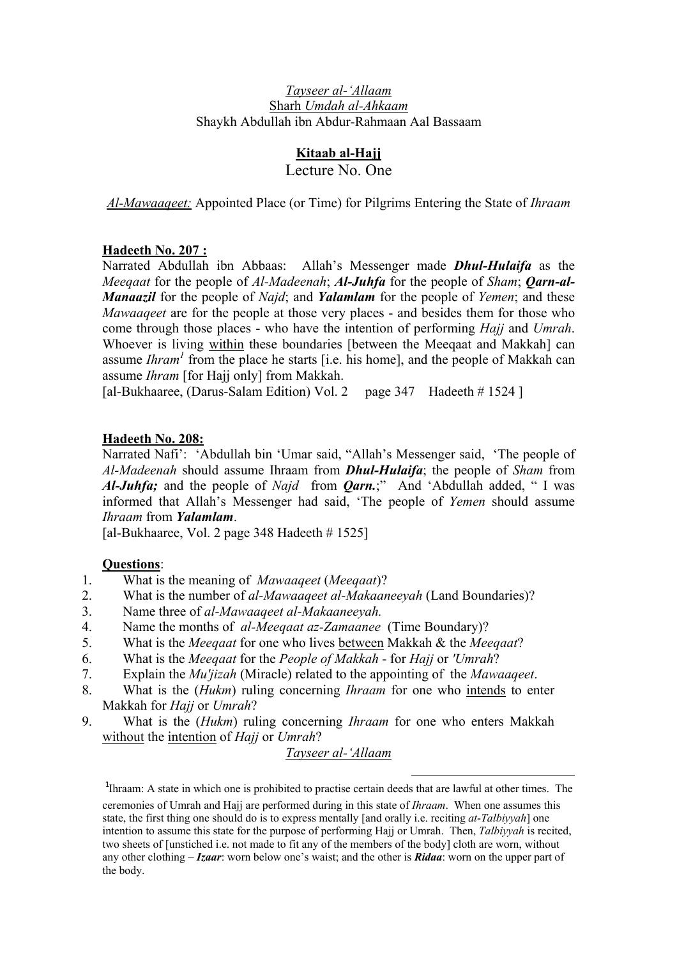## **Kitaab al-Hajj** Lecture No. One

*Al-Mawaaqeet:* Appointed Place (or Time) for Pilgrims Entering the State of *Ihraam*

## **Hadeeth No. 207 :**

Narrated Abdullah ibn Abbaas: Allah's Messenger made *Dhul-Hulaifa* as the *Meeqaat* for the people of *Al-Madeenah*; *Al-Juhfa* for the people of *Sham*; *Qarn-al-Manaazil* for the people of *Najd*; and *Yalamlam* for the people of *Yemen*; and these *Mawaaqeet* are for the people at those very places - and besides them for those who come through those places - who have the intention of performing *Hajj* and *Umrah*. Whoever is living within these boundaries [between the Meeqaat and Makkah] can assume *Ihram<sup>1</sup>* from the place he starts [i.e. his home], and the people of Makkah can assume *Ihram* [for Hajj only] from Makkah.

[al-Bukhaaree, (Darus-Salam Edition) Vol. 2 page 347 Hadeeth # 1524 ]

## **Hadeeth No. 208:**

Narrated Nafi': 'Abdullah bin 'Umar said, "Allah's Messenger said, 'The people of *Al-Madeenah* should assume Ihraam from *Dhul-Hulaifa*; the people of *Sham* from *Al-Juhfa;* and the people of *Najd* from *Qarn.*;" And 'Abdullah added, " I was informed that Allah's Messenger had said, 'The people of *Yemen* should assume *Ihraam* from *Yalamlam*.

[al-Bukhaaree, Vol. 2 page 348 Hadeeth # 1525]

## **Questions**:

- 1. What is the meaning of *Mawaaqeet* (*Meeqaat*)?
- 2. What is the number of *al-Mawaaqeet al-Makaaneeyah* (Land Boundaries)?
- 3. Name three of *al-Mawaaqeet al-Makaaneeyah.*
- 4. Name the months of *al-Meeqaat az-Zamaanee* (Time Boundary)?
- 5. What is the *Meeqaat* for one who lives between Makkah & the *Meeqaat*?
- 6. What is the *Meeqaat* for the *People of Makkah* for *Hajj* or *'Umrah*?
- 7. Explain the *Mu'jizah* (Miracle) related to the appointing of the *Mawaaqeet*.
- 8. What is the (*Hukm*) ruling concerning *Ihraam* for one who intends to enter Makkah for *Hajj* or *Umrah*?
- 9. What is the (*Hukm*) ruling concerning *Ihraam* for one who enters Makkah without the intention of *Hajj* or *Umrah*?

## *Tayseer al-'Allaam*

l

<sup>1</sup>Ihraam: A state in which one is prohibited to practise certain deeds that are lawful at other times. The ceremonies of Umrah and Hajj are performed during in this state of *Ihraam*. When one assumes this state, the first thing one should do is to express mentally [and orally i.e. reciting *at*-*Talbiyyah*] one intention to assume this state for the purpose of performing Hajj or Umrah. Then, *Talbiyyah* is recited, two sheets of [unstiched i.e. not made to fit any of the members of the body] cloth are worn, without any other clothing – *Izaar*: worn below one's waist; and the other is *Ridaa*: worn on the upper part of the body.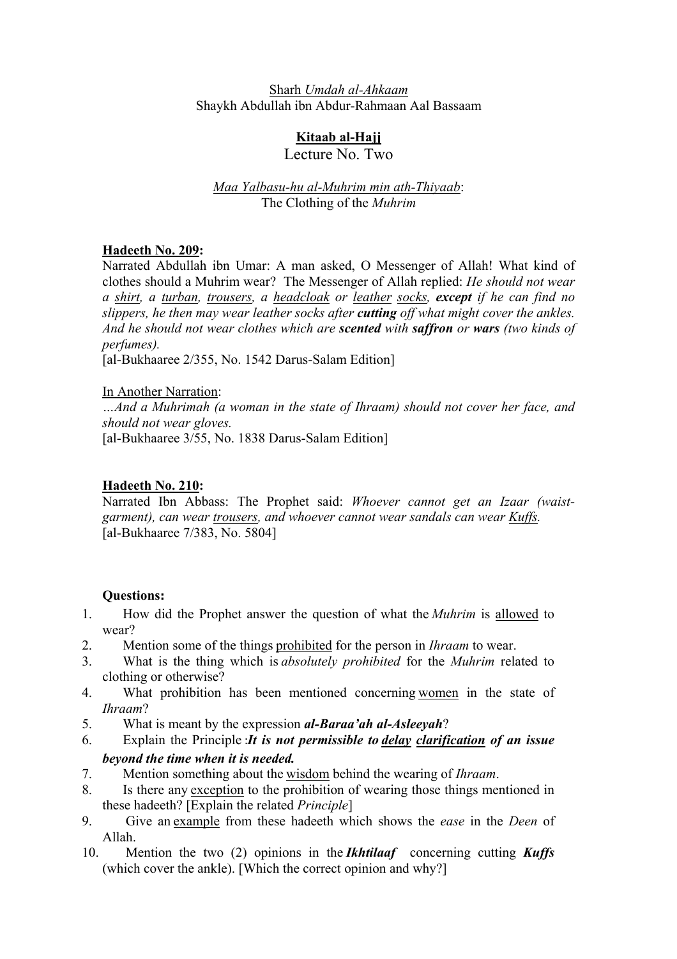Sharh *Umdah al-Ahkaam* Shaykh Abdullah ibn Abdur-Rahmaan Aal Bassaam

# **Kitaab al-Hajj**

## Lecture No. Two

*Maa Yalbasu-hu al-Muhrim min ath-Thiyaab*: The Clothing of the *Muhrim*

## **Hadeeth No. 209:**

Narrated Abdullah ibn Umar: A man asked, O Messenger of Allah! What kind of clothes should a Muhrim wear? The Messenger of Allah replied: *He should not wear a shirt, a turban, trousers, a headcloak or leather socks, except if he can find no slippers, he then may wear leather socks after cutting off what might cover the ankles. And he should not wear clothes which are scented with saffron or wars (two kinds of perfumes).* 

[al-Bukhaaree 2/355, No. 1542 Darus-Salam Edition]

### In Another Narration:

*…And a Muhrimah (a woman in the state of Ihraam) should not cover her face, and should not wear gloves.*  [al-Bukhaaree 3/55, No. 1838 Darus-Salam Edition]

## **Hadeeth No. 210:**

Narrated Ibn Abbass: The Prophet said: *Whoever cannot get an Izaar (waistgarment), can wear trousers, and whoever cannot wear sandals can wear Kuffs.* [al-Bukhaaree 7/383, No. 5804]

- 1. How did the Prophet answer the question of what the *Muhrim* is allowed to wear?
- 2. Mention some of the things prohibited for the person in *Ihraam* to wear.
- 3. What is the thing which is *absolutely prohibited* for the *Muhrim* related to clothing or otherwise?
- 4. What prohibition has been mentioned concerning women in the state of *Ihraam*?
- 5. What is meant by the expression *al-Baraa'ah al-Asleeyah*?
- 6. Explain the Principle :*It is not permissible to delay clarification of an issue beyond the time when it is needed.*
- 7. Mention something about the wisdom behind the wearing of *Ihraam*.
- 8. Is there any exception to the prohibition of wearing those things mentioned in these hadeeth? [Explain the related *Principle*]
- 9. Give an example from these hadeeth which shows the *ease* in the *Deen* of Allah.
- 10. Mention the two (2) opinions in the *Ikhtilaaf* concerning cutting *Kuffs* (which cover the ankle). [Which the correct opinion and why?]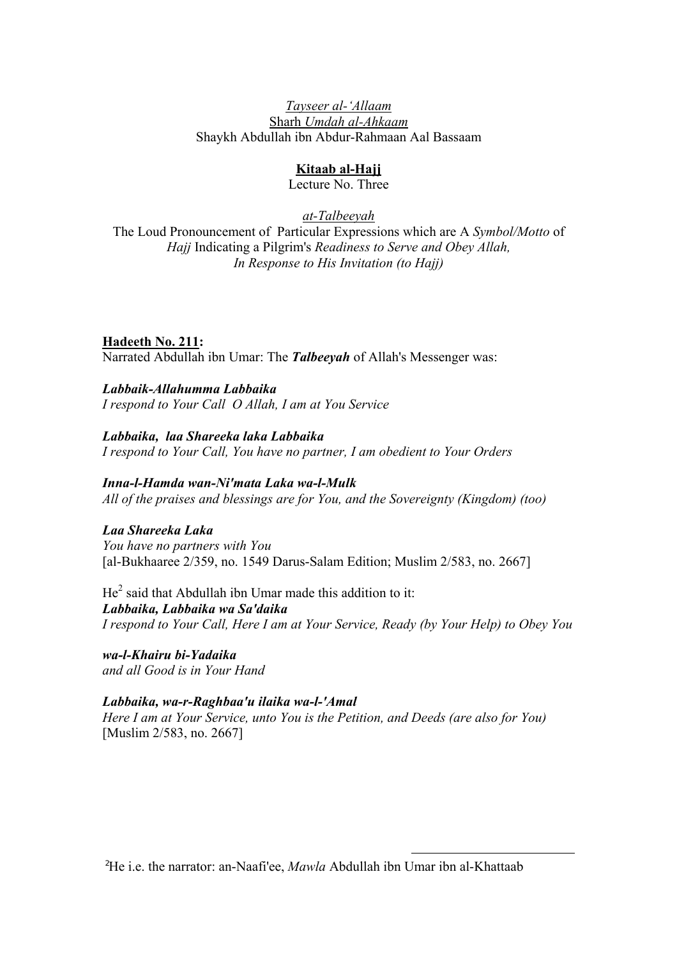## **Kitaab al-Hajj**

Lecture No. Three

## *at-Talbeeyah*

The Loud Pronouncement of Particular Expressions which are A *Symbol/Motto* of *Hajj* Indicating a Pilgrim's *Readiness to Serve and Obey Allah, In Response to His Invitation (to Hajj)*

## **Hadeeth No. 211:**

Narrated Abdullah ibn Umar: The *Talbeeyah* of Allah's Messenger was:

## *Labbaik-Allahumma Labbaika*

*I respond to Your Call O Allah, I am at You Service* 

## *Labbaika, laa Shareeka laka Labbaika*

*I respond to Your Call, You have no partner, I am obedient to Your Orders* 

## *Inna-l-Hamda wan-Ni'mata Laka wa-l-Mulk*

*All of the praises and blessings are for You, and the Sovereignty (Kingdom) (too)* 

## *Laa Shareeka Laka*

*You have no partners with You*  [al-Bukhaaree 2/359, no. 1549 Darus-Salam Edition; Muslim 2/583, no. 2667]

## $He<sup>2</sup>$  said that Abdullah ibn Umar made this addition to it: *Labbaika, Labbaika wa Sa'daika I respond to Your Call, Here I am at Your Service, Ready (by Your Help) to Obey You*

*wa-l-Khairu bi-Yadaika and all Good is in Your Hand* 

## *Labbaika, wa-r-Raghbaa'u ilaika wa-l-'Amal*

*Here I am at Your Service, unto You is the Petition, and Deeds (are also for You)*  [Muslim 2/583, no. 2667]

l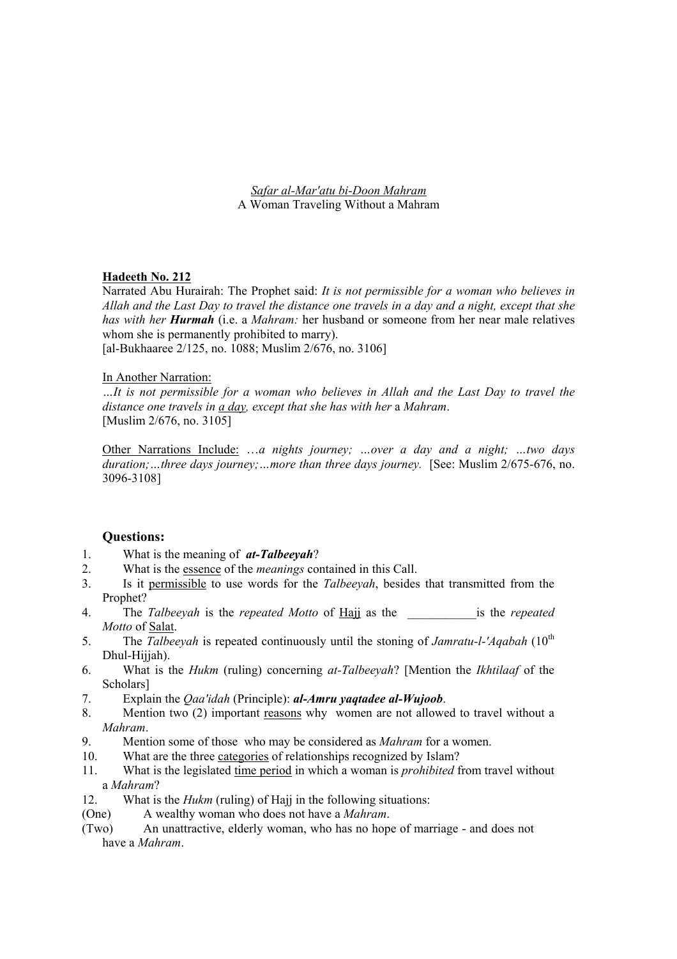*Safar al-Mar'atu bi-Doon Mahram* A Woman Traveling Without a Mahram

#### **Hadeeth No. 212**

Narrated Abu Hurairah: The Prophet said: *It is not permissible for a woman who believes in Allah and the Last Day to travel the distance one travels in a day and a night, except that she has with her Hurmah* (i.e. a *Mahram:* her husband or someone from her near male relatives whom she is permanently prohibited to marry).

[al-Bukhaaree 2/125, no. 1088; Muslim 2/676, no. 3106]

#### In Another Narration:

*…It is not permissible for a woman who believes in Allah and the Last Day to travel the distance one travels in a day, except that she has with her* a *Mahram*. [Muslim 2/676, no. 3105]

Other Narrations Include: …*a nights journey; …over a day and a night; …two days*  duration;…three days journey;…more than three days journey. [See: Muslim 2/675-676, no. 3096-3108]

- 1. What is the meaning of *at-Talbeeyah*?
- 2. What is the essence of the *meanings* contained in this Call.
- 3. Is it permissible to use words for the *Talbeeyah*, besides that transmitted from the Prophet?
- 4. The *Talbeeyah* is the *repeated Motto* of Hajj as the \_\_\_\_\_\_\_\_\_\_\_is the *repeated Motto* of Salat.
- 5. The *Talbeeyah* is repeated continuously until the stoning of *Jamratu-l-'Aqabah* (10<sup>th</sup>) Dhul-Hiijah).
- 6. What is the *Hukm* (ruling) concerning *at-Talbeeyah*? [Mention the *Ikhtilaaf* of the Scholars]
- 7. Explain the *Qaa'idah* (Principle): *al-Amru yaqtadee al-Wujoob*.
- 8. Mention two (2) important reasons why women are not allowed to travel without a *Mahram*.
- 9. Mention some of those who may be considered as *Mahram* for a women.
- 10. What are the three categories of relationships recognized by Islam?
- 11. What is the legislated time period in which a woman is *prohibited* from travel without a *Mahram*?
- 12. What is the *Hukm* (ruling) of Hajj in the following situations:
- (One) A wealthy woman who does not have a *Mahram*.
- (Two) An unattractive, elderly woman, who has no hope of marriage and does not have a *Mahram*.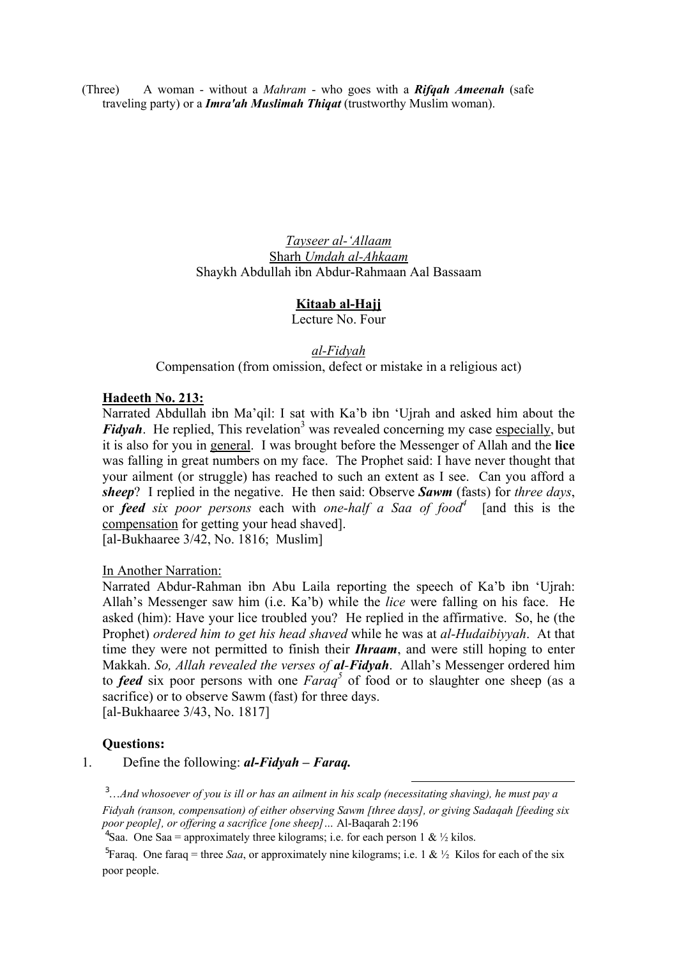(Three) A woman - without a *Mahram* - who goes with a *Rifqah Ameenah* (safe traveling party) or a *Imra'ah Muslimah Thiqat* (trustworthy Muslim woman).

> *Tayseer al-'Allaam* Sharh *Umdah al-Ahkaam* Shaykh Abdullah ibn Abdur-Rahmaan Aal Bassaam

#### **Kitaab al-Hajj**

Lecture No. Four

*al-Fidyah* Compensation (from omission, defect or mistake in a religious act)

#### **Hadeeth No. 213:**

Narrated Abdullah ibn Ma'qil: I sat with Ka'b ibn 'Ujrah and asked him about the Fidyah. He replied, This revelation<sup>3</sup> was revealed concerning my case especially, but it is also for you in general. I was brought before the Messenger of Allah and the **lice** was falling in great numbers on my face. The Prophet said: I have never thought that your ailment (or struggle) has reached to such an extent as I see. Can you afford a *sheep*? I replied in the negative. He then said: Observe *Sawm* (fasts) for *three days*, or *feed six poor persons* each with *one-half a Saa of food<sup>4</sup>* [and this is the compensation for getting your head shaved].

[al-Bukhaaree 3/42, No. 1816; Muslim]

#### In Another Narration:

Narrated Abdur-Rahman ibn Abu Laila reporting the speech of Ka'b ibn 'Ujrah: Allah's Messenger saw him (i.e. Ka'b) while the *lice* were falling on his face. He asked (him): Have your lice troubled you? He replied in the affirmative. So, he (the Prophet) *ordered him to get his head shaved* while he was at *al-Hudaibiyyah*. At that time they were not permitted to finish their *Ihraam*, and were still hoping to enter Makkah. *So, Allah revealed the verses of al-Fidyah*. Allah's Messenger ordered him to *feed* six poor persons with one *Faraq*<sup>5</sup> of food or to slaughter one sheep (as a sacrifice) or to observe Sawm (fast) for three days. [al-Bukhaaree 3/43, No. 1817]

#### **Questions:**

1. Define the following: *al-Fidyah – Faraq.*

3 …*And whosoever of you is ill or has an ailment in his scalp (necessitating shaving), he must pay a Fidyah (ranson, compensation) of either observing Sawm [three days], or giving Sadaqah [feeding six poor people], or offering a sacrifice [one sheep]…* Al-Baqarah 2:196

l

<sup>4</sup>Saa. One Saa = approximately three kilograms; i.e. for each person 1 &  $\frac{1}{2}$  kilos.

<sup>5</sup> Faraq. One faraq = three *Saa*, or approximately nine kilograms; i.e. 1 &  $\frac{1}{2}$  Kilos for each of the six poor people.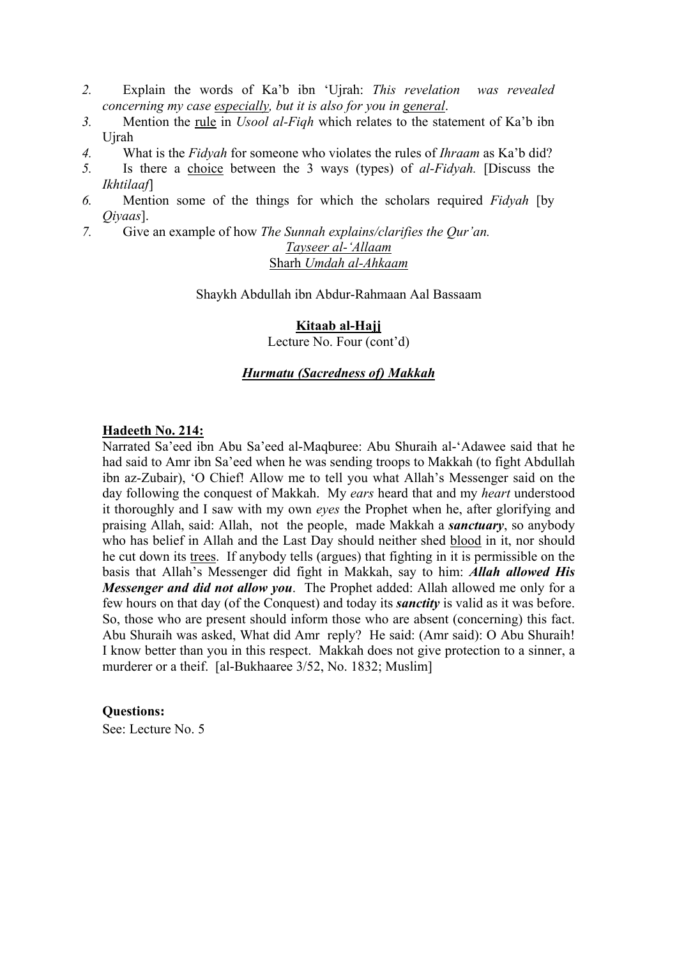- *2.* Explain the words of Ka'b ibn 'Ujrah: *This revelation was revealed concerning my case especially, but it is also for you in general*.
- *3.* Mention the rule in *Usool al-Fiqh* which relates to the statement of Ka'b ibn Ujrah
- *4.* What is the *Fidyah* for someone who violates the rules of *Ihraam* as Ka'b did?
- *5.* Is there a choice between the 3 ways (types) of *al-Fidyah.* [Discuss the *Ikhtilaaf*]
- *6.* Mention some of the things for which the scholars required *Fidyah* [by *Qiyaas*].
- *7.* Give an example of how *The Sunnah explains/clarifies the Qur'an.*

### *Tayseer al-'Allaam* Sharh *Umdah al-Ahkaam*

Shaykh Abdullah ibn Abdur-Rahmaan Aal Bassaam

## **Kitaab al-Hajj**

Lecture No. Four (cont'd)

### *Hurmatu (Sacredness of) Makkah*

### **Hadeeth No. 214:**

Narrated Sa'eed ibn Abu Sa'eed al-Maqburee: Abu Shuraih al-'Adawee said that he had said to Amr ibn Sa'eed when he was sending troops to Makkah (to fight Abdullah ibn az-Zubair), 'O Chief! Allow me to tell you what Allah's Messenger said on the day following the conquest of Makkah. My *ears* heard that and my *heart* understood it thoroughly and I saw with my own *eyes* the Prophet when he, after glorifying and praising Allah, said: Allah, not the people, made Makkah a *sanctuary*, so anybody who has belief in Allah and the Last Day should neither shed blood in it, nor should he cut down its trees. If anybody tells (argues) that fighting in it is permissible on the basis that Allah's Messenger did fight in Makkah, say to him: *Allah allowed His Messenger and did not allow you*. The Prophet added: Allah allowed me only for a few hours on that day (of the Conquest) and today its *sanctity* is valid as it was before. So, those who are present should inform those who are absent (concerning) this fact. Abu Shuraih was asked, What did Amr reply? He said: (Amr said): O Abu Shuraih! I know better than you in this respect. Makkah does not give protection to a sinner, a murderer or a theif. [al-Bukhaaree 3/52, No. 1832; Muslim]

### **Questions:**

See: Lecture No. 5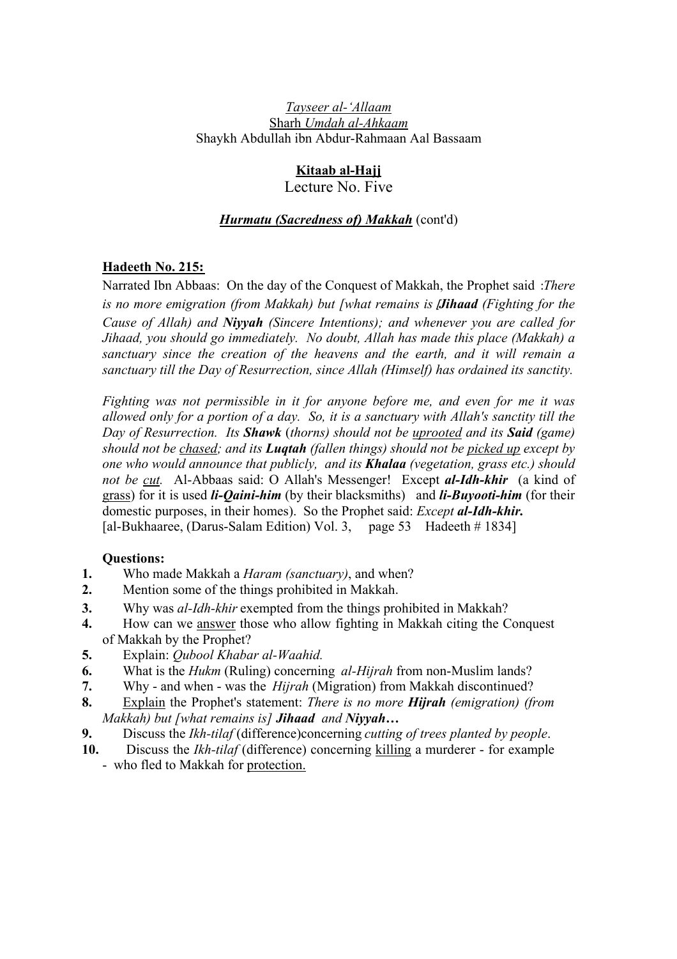# **Kitaab al-Hajj**

Lecture No. Five

# *Hurmatu (Sacredness of) Makkah* (cont'd)

## **Hadeeth No. 215:**

Narrated Ibn Abbaas: On the day of the Conquest of Makkah, the Prophet said :*There is no more emigration (from Makkah) but [what remains is* [*Jihaad (Fighting for the Cause of Allah) and Niyyah (Sincere Intentions); and whenever you are called for Jihaad, you should go immediately. No doubt, Allah has made this place (Makkah) a sanctuary since the creation of the heavens and the earth, and it will remain a sanctuary till the Day of Resurrection, since Allah (Himself) has ordained its sanctity.* 

*Fighting was not permissible in it for anyone before me, and even for me it was allowed only for a portion of a day. So, it is a sanctuary with Allah's sanctity till the Day of Resurrection. Its Shawk* (*thorns) should not be uprooted and its Said (game) should not be chased; and its Luqtah (fallen things) should not be picked up except by one who would announce that publicly, and its Khalaa (vegetation, grass etc.) should not be cut.* Al-Abbaas said: O Allah's Messenger! Except *al-Idh-khir* (a kind of grass) for it is used *li-Qaini-him* (by their blacksmiths) and *li-Buyooti-him* (for their domestic purposes, in their homes). So the Prophet said: *Except al-Idh-khir.*  [al-Bukhaaree, (Darus-Salam Edition) Vol. 3, page 53 Hadeeth # 1834]

- **1.** Who made Makkah a *Haram (sanctuary)*, and when?
- **2.** Mention some of the things prohibited in Makkah.
- **3.** Why was *al-Idh-khir* exempted from the things prohibited in Makkah?
- **4.** How can we answer those who allow fighting in Makkah citing the Conquest of Makkah by the Prophet?
- **5.** Explain: *Qubool Khabar al-Waahid.*
- **6.** What is the *Hukm* (Ruling) concerning *al-Hijrah* from non-Muslim lands?
- **7.** Why and when was the *Hijrah* (Migration) from Makkah discontinued?
- **8.** Explain the Prophet's statement: *There is no more Hijrah (emigration) (from Makkah) but [what remains is] Jihaad and Niyyah…*
- **9.** Discuss the *Ikh-tilaf* (difference)concerning *cutting of trees planted by people*.
- **10.** Discuss the *Ikh-tilaf* (difference) concerning killing a murderer for example - who fled to Makkah for protection.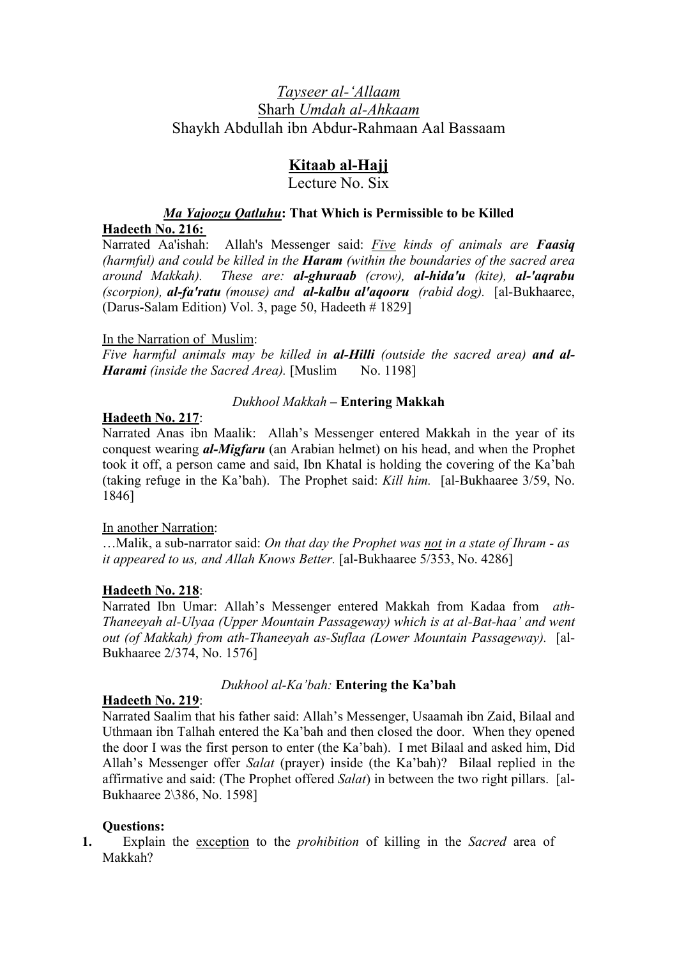# **Kitaab al-Hajj**

Lecture No. Six

### *Ma Yajoozu Qatluhu***: That Which is Permissible to be Killed Hadeeth No. 216:**

Narrated Aa'ishah: Allah's Messenger said: *Five kinds of animals are Faasiq (harmful) and could be killed in the Haram (within the boundaries of the sacred area around Makkah). These are: al-ghuraab (crow), al-hida'u (kite), al-'aqrabu (scorpion), al-fa'ratu (mouse) and al-kalbu al'aqooru (rabid dog).* [al-Bukhaaree, (Darus-Salam Edition) Vol. 3, page 50, Hadeeth  $\#$  1829]

## In the Narration of Muslim:

*Five harmful animals may be killed in al-Hilli (outside the sacred area) and al-Harami (inside the Sacred Area).* [Muslim No. 1198]

## *Dukhool Makkah* **– Entering Makkah**

## **Hadeeth No. 217**:

Narrated Anas ibn Maalik: Allah's Messenger entered Makkah in the year of its conquest wearing *al-Migfaru* (an Arabian helmet) on his head, and when the Prophet took it off, a person came and said, Ibn Khatal is holding the covering of the Ka'bah (taking refuge in the Ka'bah). The Prophet said: *Kill him.* [al-Bukhaaree 3/59, No. 1846]

## In another Narration:

…Malik, a sub-narrator said: *On that day the Prophet was not in a state of Ihram - as it appeared to us, and Allah Knows Better.* [al-Bukhaaree 5/353, No. 4286]

## **Hadeeth No. 218**:

Narrated Ibn Umar: Allah's Messenger entered Makkah from Kadaa from *ath-Thaneeyah al-Ulyaa (Upper Mountain Passageway) which is at al-Bat-haa' and went out (of Makkah) from ath-Thaneeyah as-Suflaa (Lower Mountain Passageway).* [al-Bukhaaree 2/374, No. 1576]

## *Dukhool al-Ka'bah:* **Entering the Ka'bah**

## **Hadeeth No. 219**:

Narrated Saalim that his father said: Allah's Messenger, Usaamah ibn Zaid, Bilaal and Uthmaan ibn Talhah entered the Ka'bah and then closed the door. When they opened the door I was the first person to enter (the Ka'bah). I met Bilaal and asked him, Did Allah's Messenger offer *Salat* (prayer) inside (the Ka'bah)? Bilaal replied in the affirmative and said: (The Prophet offered *Salat*) in between the two right pillars. [al-Bukhaaree 2\386, No. 1598]

## **Questions:**

**1.** Explain the exception to the *prohibition* of killing in the *Sacred* area of Makkah?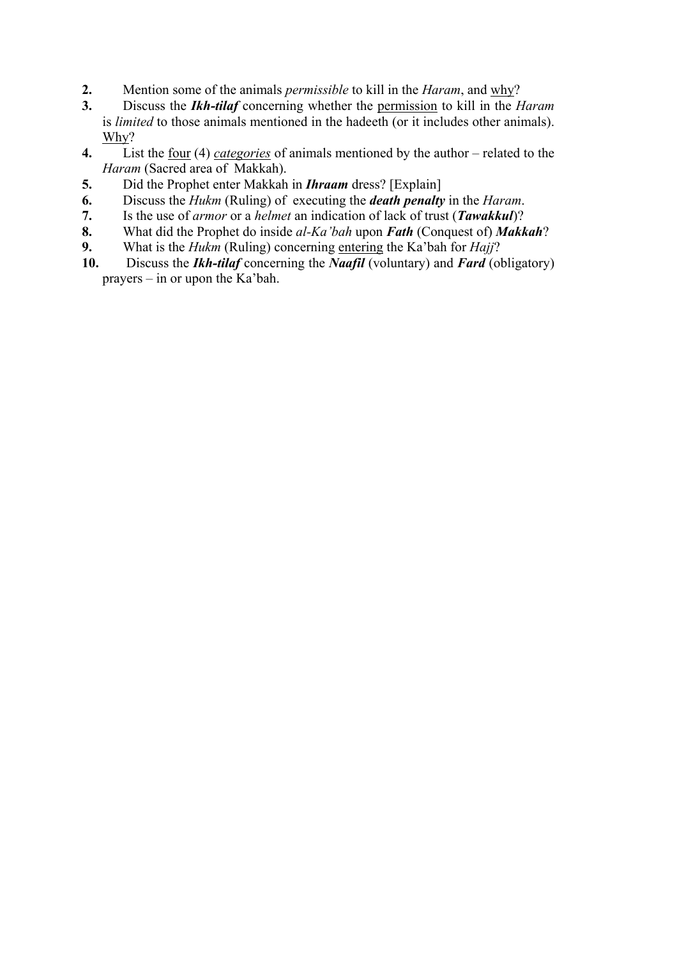- **2.** Mention some of the animals *permissible* to kill in the *Haram*, and why?
- **3.** Discuss the *Ikh-tilaf* concerning whether the permission to kill in the *Haram* is *limited* to those animals mentioned in the hadeeth (or it includes other animals). Why?
- **4.** List the four (4) *categories* of animals mentioned by the author related to the *Haram* (Sacred area of Makkah).
- **5.** Did the Prophet enter Makkah in *Ihraam* dress? [Explain]
- **6.** Discuss the *Hukm* (Ruling) of executing the *death penalty* in the *Haram*.
- **7.** Is the use of *armor* or a *helmet* an indication of lack of trust (*Tawakkul*)?
- **8.** What did the Prophet do inside *al-Ka'bah* upon *Fath* (Conquest of) *Makkah*?
- **9.** What is the *Hukm* (Ruling) concerning entering the Ka'bah for *Hajj*?
- **10.** Discuss the *Ikh-tilaf* concerning the *Naafil* (voluntary) and *Fard* (obligatory) prayers – in or upon the Ka'bah.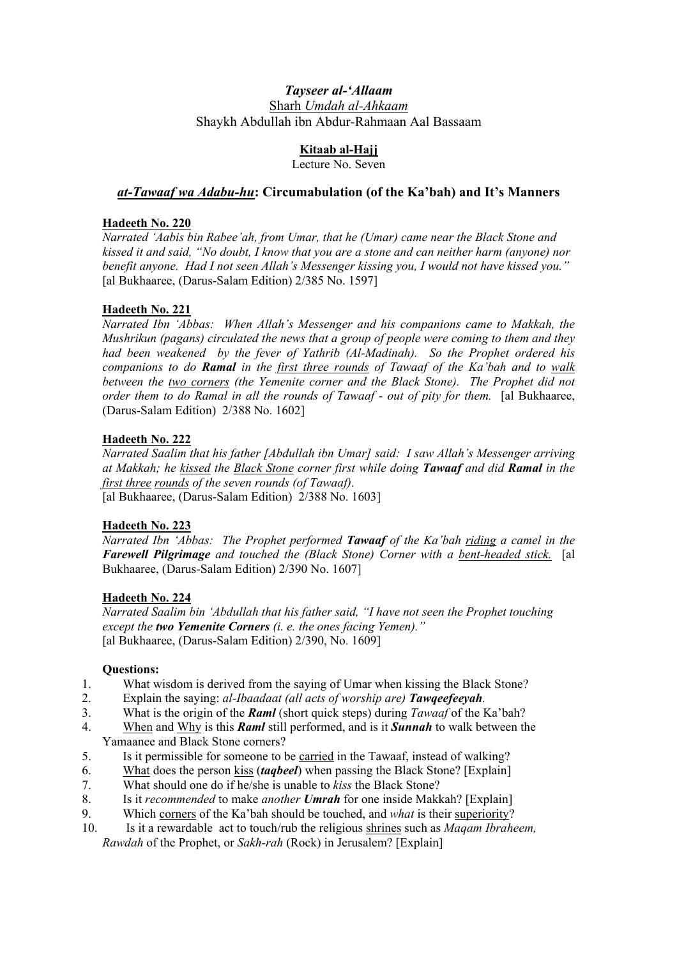### **Kitaab al-Hajj**

Lecture No. Seven

### *at-Tawaaf wa Adabu-hu***: Circumabulation (of the Ka'bah) and It's Manners**

#### **Hadeeth No. 220**

*Narrated 'Aabis bin Rabee'ah, from Umar, that he (Umar) came near the Black Stone and kissed it and said, "No doubt, I know that you are a stone and can neither harm (anyone) nor benefit anyone. Had I not seen Allah's Messenger kissing you, I would not have kissed you."* [al Bukhaaree, (Darus-Salam Edition) 2/385 No. 1597]

### **Hadeeth No. 221**

*Narrated Ibn 'Abbas: When Allah's Messenger and his companions came to Makkah, the Mushrikun (pagans) circulated the news that a group of people were coming to them and they had been weakened by the fever of Yathrib (Al-Madinah). So the Prophet ordered his companions to do Ramal in the first three rounds of Tawaaf of the Ka'bah and to walk between the two corners (the Yemenite corner and the Black Stone). The Prophet did not order them to do Ramal in all the rounds of Tawaaf - out of pity for them.* [al Bukhaaree, (Darus-Salam Edition) 2/388 No. 1602]

#### **Hadeeth No. 222**

*Narrated Saalim that his father [Abdullah ibn Umar] said: I saw Allah's Messenger arriving at Makkah; he kissed the Black Stone corner first while doing Tawaaf and did Ramal in the first three rounds of the seven rounds (of Tawaaf).*  [al Bukhaaree, (Darus-Salam Edition) 2/388 No. 1603]

#### **Hadeeth No. 223**

*Narrated Ibn 'Abbas: The Prophet performed Tawaaf of the Ka'bah riding a camel in the Farewell Pilgrimage and touched the (Black Stone) Corner with a bent-headed stick.* [al Bukhaaree, (Darus-Salam Edition) 2/390 No. 1607]

#### **Hadeeth No. 224**

*Narrated Saalim bin 'Abdullah that his father said, "I have not seen the Prophet touching except the two Yemenite Corners (i. e. the ones facing Yemen)."*  [al Bukhaaree, (Darus-Salam Edition) 2/390, No. 1609]

- 1. What wisdom is derived from the saying of Umar when kissing the Black Stone?
- 2. Explain the saying: *al-Ibaadaat (all acts of worship are) Tawqeefeeyah.*
- 3. What is the origin of the *Raml* (short quick steps) during *Tawaaf* of the Ka'bah?
- 4. When and Why is this *Raml* still performed, and is it *Sunnah* to walk between the Yamaanee and Black Stone corners?
- 5. Is it permissible for someone to be carried in the Tawaaf, instead of walking?
- 6. What does the person kiss (*taqbeel*) when passing the Black Stone? [Explain]
- 7. What should one do if he/she is unable to *kiss* the Black Stone?
- 8. Is it *recommended* to make *another Umrah* for one inside Makkah? [Explain]
- 9. Which corners of the Ka'bah should be touched, and *what* is their superiority?
- 10. Is it a rewardable act to touch/rub the religious shrines such as *Maqam Ibraheem, Rawdah* of the Prophet, or *Sakh-rah* (Rock) in Jerusalem? [Explain]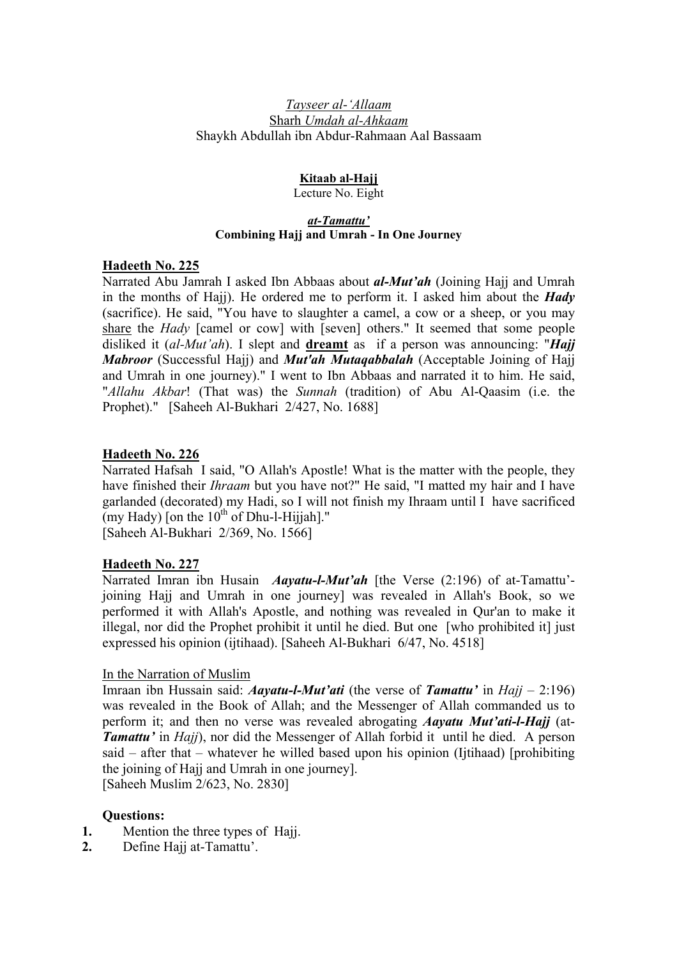# **Kitaab al-Hajj**

Lecture No. Eight

### *at-Tamattu'* **Combining Hajj and Umrah - In One Journey**

### **Hadeeth No. 225**

Narrated Abu Jamrah I asked Ibn Abbaas about *al-Mut'ah* (Joining Hajj and Umrah in the months of Hajj). He ordered me to perform it. I asked him about the *Hady* (sacrifice). He said, "You have to slaughter a camel, a cow or a sheep, or you may share the *Hady* [camel or cow] with [seven] others." It seemed that some people disliked it (*al-Mut'ah*). I slept and **dreamt** as if a person was announcing: "*Hajj Mabroor* (Successful Hajj) and *Mut'ah Mutaqabbalah* (Acceptable Joining of Hajj and Umrah in one journey)." I went to Ibn Abbaas and narrated it to him. He said, "*Allahu Akbar*! (That was) the *Sunnah* (tradition) of Abu Al-Qaasim (i.e. the Prophet)." [Saheeh Al-Bukhari 2/427, No. 1688]

## **Hadeeth No. 226**

Narrated Hafsah I said, "O Allah's Apostle! What is the matter with the people, they have finished their *Ihraam* but you have not?" He said, "I matted my hair and I have garlanded (decorated) my Hadi, so I will not finish my Ihraam until I have sacrificed (my Hady) [on the  $10^{th}$  of Dhu-l-Hijjah]." [Saheeh Al-Bukhari 2/369, No. 1566]

## **Hadeeth No. 227**

Narrated Imran ibn Husain *Aayatu-l-Mut'ah* [the Verse (2:196) of at-Tamattu' joining Hajj and Umrah in one journey] was revealed in Allah's Book, so we performed it with Allah's Apostle, and nothing was revealed in Qur'an to make it illegal, nor did the Prophet prohibit it until he died. But one [who prohibited it] just expressed his opinion (ijtihaad). [Saheeh Al-Bukhari 6/47, No. 4518]

### In the Narration of Muslim

Imraan ibn Hussain said: *Aayatu-l-Mut'ati* (the verse of *Tamattu'* in *Hajj* – 2:196) was revealed in the Book of Allah; and the Messenger of Allah commanded us to perform it; and then no verse was revealed abrogating *Aayatu Mut'ati-l-Hajj* (at-*Tamattu'* in *Hajj*), nor did the Messenger of Allah forbid it until he died. A person said – after that – whatever he willed based upon his opinion (Ijtihaad) [prohibiting the joining of Hajj and Umrah in one journey].

[Saheeh Muslim 2/623, No. 2830]

- **1.** Mention the three types of Hajj.
- **2.** Define Hajj at-Tamattu'.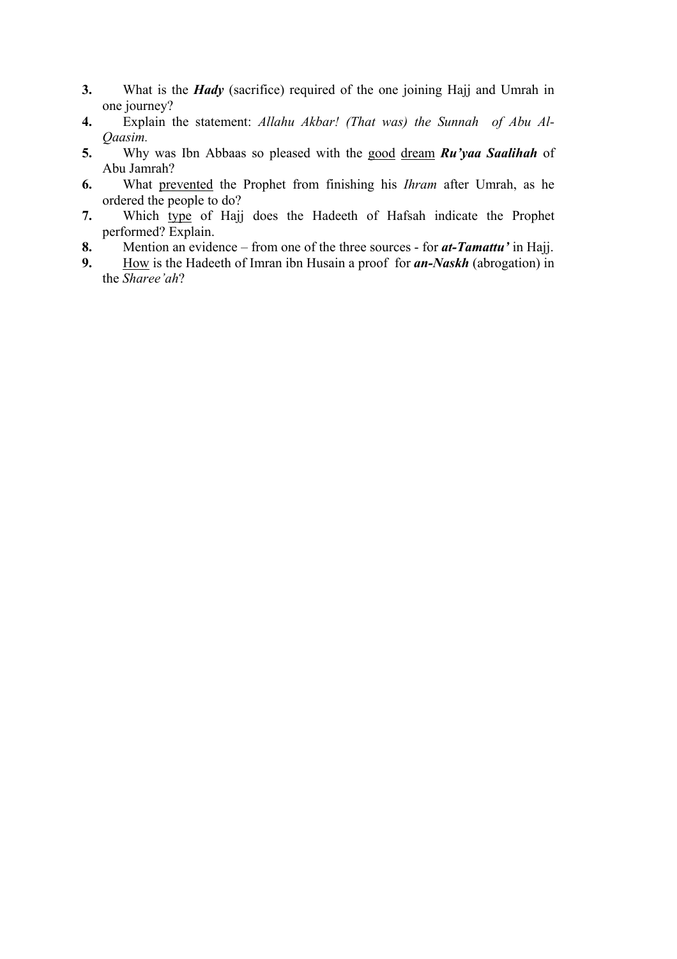- **3.** What is the *Hady* (sacrifice) required of the one joining Hajj and Umrah in one journey?
- **4.** Explain the statement: *Allahu Akbar! (That was) the Sunnah of Abu Al-Qaasim.*
- **5.** Why was Ibn Abbaas so pleased with the good dream *Ru'yaa Saalihah* of Abu Jamrah?
- **6.** What prevented the Prophet from finishing his *Ihram* after Umrah, as he ordered the people to do?
- **7.** Which type of Hajj does the Hadeeth of Hafsah indicate the Prophet performed? Explain.
- **8.** Mention an evidence from one of the three sources for *at-Tamattu'* in Hajj.
- **9.** How is the Hadeeth of Imran ibn Husain a proof for *an-Naskh* (abrogation) in the *Sharee'ah*?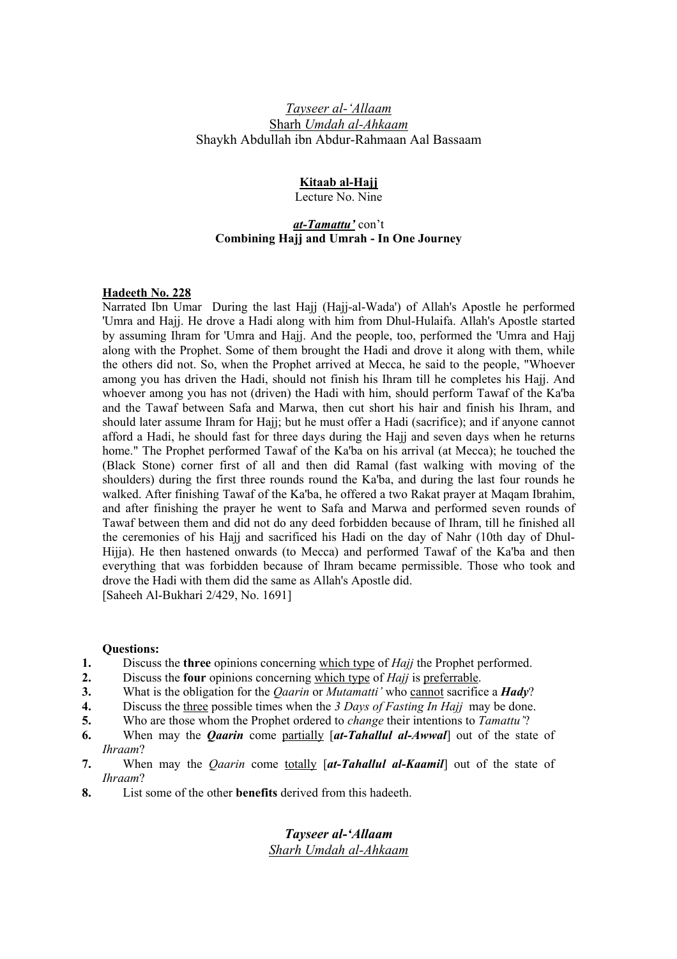#### **Kitaab al-Hajj** Lecture No. Nine

#### *at-Tamattu'* con't **Combining Hajj and Umrah - In One Journey**

#### **Hadeeth No. 228**

Narrated Ibn Umar During the last Hajj (Hajj-al-Wada') of Allah's Apostle he performed 'Umra and Hajj. He drove a Hadi along with him from Dhul-Hulaifa. Allah's Apostle started by assuming Ihram for 'Umra and Hajj. And the people, too, performed the 'Umra and Hajj along with the Prophet. Some of them brought the Hadi and drove it along with them, while the others did not. So, when the Prophet arrived at Mecca, he said to the people, "Whoever among you has driven the Hadi, should not finish his Ihram till he completes his Hajj. And whoever among you has not (driven) the Hadi with him, should perform Tawaf of the Ka'ba and the Tawaf between Safa and Marwa, then cut short his hair and finish his Ihram, and should later assume Ihram for Hajj; but he must offer a Hadi (sacrifice); and if anyone cannot afford a Hadi, he should fast for three days during the Hajj and seven days when he returns home." The Prophet performed Tawaf of the Ka'ba on his arrival (at Mecca); he touched the (Black Stone) corner first of all and then did Ramal (fast walking with moving of the shoulders) during the first three rounds round the Ka'ba, and during the last four rounds he walked. After finishing Tawaf of the Ka'ba, he offered a two Rakat prayer at Maqam Ibrahim, and after finishing the prayer he went to Safa and Marwa and performed seven rounds of Tawaf between them and did not do any deed forbidden because of Ihram, till he finished all the ceremonies of his Hajj and sacrificed his Hadi on the day of Nahr (10th day of Dhul-Hijja). He then hastened onwards (to Mecca) and performed Tawaf of the Ka'ba and then everything that was forbidden because of Ihram became permissible. Those who took and drove the Hadi with them did the same as Allah's Apostle did. [Saheeh Al-Bukhari 2/429, No. 1691]

#### **Questions:**

- **1.** Discuss the **three** opinions concerning which type of *Hajj* the Prophet performed.
- **2.** Discuss the **four** opinions concerning which type of *Hajj* is preferrable.
- **3.** What is the obligation for the *Qaarin* or *Mutamatti'* who cannot sacrifice a *Hady*?
- **4.** Discuss the three possible times when the *3 Days of Fasting In Hajj* may be done.
- **5.** Who are those whom the Prophet ordered to *change* their intentions to *Tamattu'*?
- **6.** When may the *Qaarin* come partially [*at-Tahallul al-Awwal*] out of the state of *Ihraam*?
- **7.** When may the *Qaarin* come totally [*at-Tahallul al-Kaamil*] out of the state of *Ihraam*?
- **8.** List some of the other **benefits** derived from this hadeeth.

*Tayseer al-'Allaam Sharh Umdah al-Ahkaam*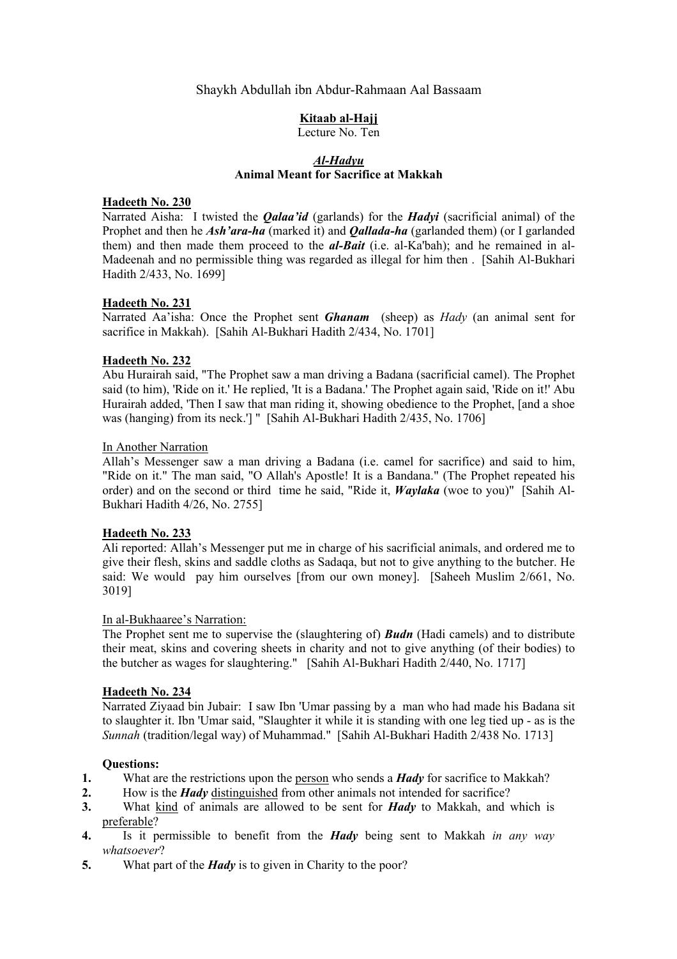Shaykh Abdullah ibn Abdur-Rahmaan Aal Bassaam

#### **Kitaab al-Hajj**

Lecture No. Ten

#### *Al-Hadyu* **Animal Meant for Sacrifice at Makkah**

#### **Hadeeth No. 230**

Narrated Aisha: I twisted the *Qalaa'id* (garlands) for the *Hadyi* (sacrificial animal) of the Prophet and then he *Ash'ara-ha* (marked it) and *Qallada-ha* (garlanded them) (or I garlanded them) and then made them proceed to the *al-Bait* (i.e. al-Ka'bah); and he remained in al-Madeenah and no permissible thing was regarded as illegal for him then . [Sahih Al-Bukhari Hadith 2/433, No. 1699]

#### **Hadeeth No. 231**

Narrated Aa'isha: Once the Prophet sent *Ghanam* (sheep) as *Hady* (an animal sent for sacrifice in Makkah). [Sahih Al-Bukhari Hadith 2/434, No. 1701]

#### **Hadeeth No. 232**

Abu Hurairah said, "The Prophet saw a man driving a Badana (sacrificial camel). The Prophet said (to him), 'Ride on it.' He replied, 'It is a Badana.' The Prophet again said, 'Ride on it!' Abu Hurairah added, 'Then I saw that man riding it, showing obedience to the Prophet, [and a shoe was (hanging) from its neck.'] " [Sahih Al-Bukhari Hadith 2/435, No. 1706]

#### In Another Narration

Allah's Messenger saw a man driving a Badana (i.e. camel for sacrifice) and said to him, "Ride on it." The man said, "O Allah's Apostle! It is a Bandana." (The Prophet repeated his order) and on the second or third time he said, "Ride it, *Waylaka* (woe to you)" [Sahih Al-Bukhari Hadith 4/26, No. 2755]

#### **Hadeeth No. 233**

Ali reported: Allah's Messenger put me in charge of his sacrificial animals, and ordered me to give their flesh, skins and saddle cloths as Sadaqa, but not to give anything to the butcher. He said: We would pay him ourselves [from our own money]. [Saheeh Muslim 2/661, No. 3019]

#### In al-Bukhaaree's Narration:

The Prophet sent me to supervise the (slaughtering of) *Budn* (Hadi camels) and to distribute their meat, skins and covering sheets in charity and not to give anything (of their bodies) to the butcher as wages for slaughtering." [Sahih Al-Bukhari Hadith 2/440, No. 1717]

#### **Hadeeth No. 234**

Narrated Ziyaad bin Jubair: I saw Ibn 'Umar passing by a man who had made his Badana sit to slaughter it. Ibn 'Umar said, "Slaughter it while it is standing with one leg tied up - as is the *Sunnah* (tradition/legal way) of Muhammad." [Sahih Al-Bukhari Hadith 2/438 No. 1713]

- **1.** What are the restrictions upon the person who sends a *Hady* for sacrifice to Makkah?
- **2.** How is the *Hady* distinguished from other animals not intended for sacrifice?
- **3.** What kind of animals are allowed to be sent for *Hady* to Makkah, and which is preferable?
- **4.** Is it permissible to benefit from the *Hady* being sent to Makkah *in any way whatsoever*?
- **5.** What part of the *Hady* is to given in Charity to the poor?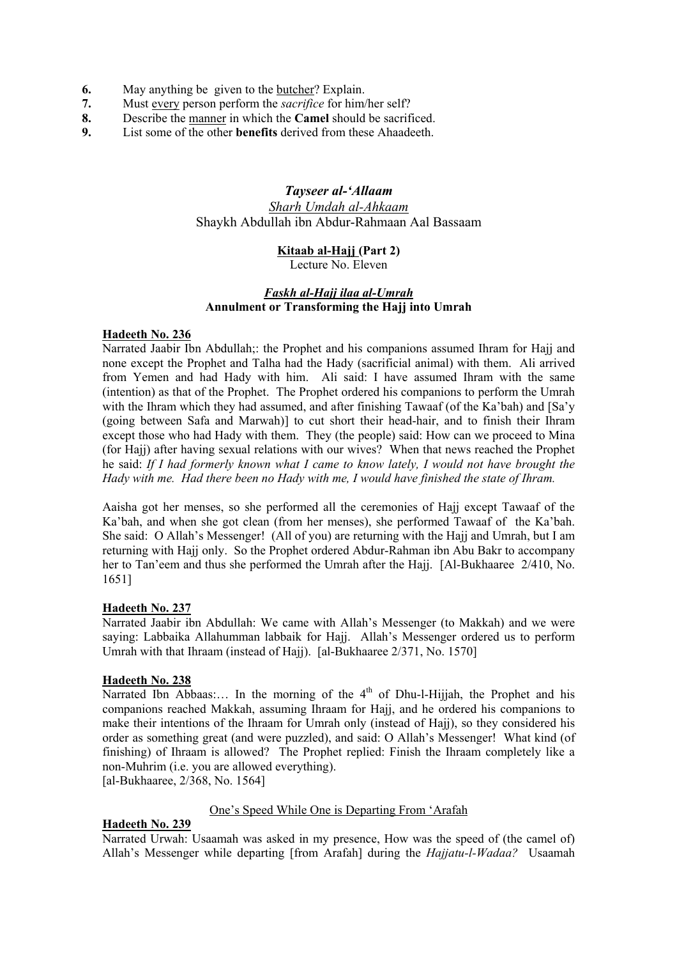- **6.** May anything be given to the butcher? Explain.
- **7.** Must every person perform the *sacrifice* for him/her self?
- **8.** Describe the manner in which the **Camel** should be sacrificed.
- **9.** List some of the other **benefits** derived from these Ahaadeeth.

#### **Kitaab al-Hajj (Part 2)**

Lecture No. Eleven

#### *Faskh al-Hajj ilaa al-Umrah* **Annulment or Transforming the Hajj into Umrah**

#### **Hadeeth No. 236**

Narrated Jaabir Ibn Abdullah;: the Prophet and his companions assumed Ihram for Hajj and none except the Prophet and Talha had the Hady (sacrificial animal) with them. Ali arrived from Yemen and had Hady with him. Ali said: I have assumed Ihram with the same (intention) as that of the Prophet. The Prophet ordered his companions to perform the Umrah with the Ihram which they had assumed, and after finishing Tawaaf (of the Ka'bah) and [Sa'y (going between Safa and Marwah)] to cut short their head-hair, and to finish their Ihram except those who had Hady with them. They (the people) said: How can we proceed to Mina (for Hajj) after having sexual relations with our wives? When that news reached the Prophet he said: *If I had formerly known what I came to know lately, I would not have brought the Hady with me. Had there been no Hady with me, I would have finished the state of Ihram.* 

Aaisha got her menses, so she performed all the ceremonies of Hajj except Tawaaf of the Ka'bah, and when she got clean (from her menses), she performed Tawaaf of the Ka'bah. She said: O Allah's Messenger! (All of you) are returning with the Hajj and Umrah, but I am returning with Hajj only. So the Prophet ordered Abdur-Rahman ibn Abu Bakr to accompany her to Tan'eem and thus she performed the Umrah after the Hajj. [Al-Bukhaaree 2/410, No. 1651]

#### **Hadeeth No. 237**

Narrated Jaabir ibn Abdullah: We came with Allah's Messenger (to Makkah) and we were saying: Labbaika Allahumman labbaik for Hajj. Allah's Messenger ordered us to perform Umrah with that Ihraam (instead of Hajj). [al-Bukhaaree 2/371, No. 1570]

#### **Hadeeth No. 238**

Narrated Ibn Abbaas:... In the morning of the 4<sup>th</sup> of Dhu-l-Hijjah, the Prophet and his companions reached Makkah, assuming Ihraam for Hajj, and he ordered his companions to make their intentions of the Ihraam for Umrah only (instead of Hajj), so they considered his order as something great (and were puzzled), and said: O Allah's Messenger! What kind (of finishing) of Ihraam is allowed? The Prophet replied: Finish the Ihraam completely like a non-Muhrim (i.e. you are allowed everything).

[al-Bukhaaree, 2/368, No. 1564]

#### One's Speed While One is Departing From 'Arafah

#### **Hadeeth No. 239**

Narrated Urwah: Usaamah was asked in my presence, How was the speed of (the camel of) Allah's Messenger while departing [from Arafah] during the *Hajjatu-l-Wadaa?* Usaamah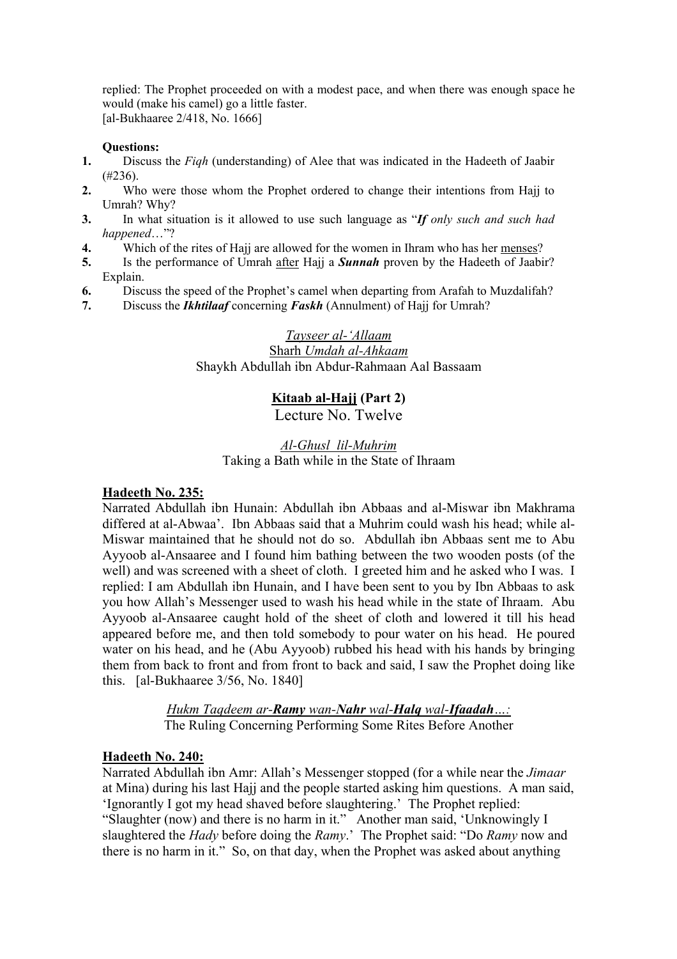replied: The Prophet proceeded on with a modest pace, and when there was enough space he would (make his camel) go a little faster. [al-Bukhaaree 2/418, No. 1666]

#### **Questions:**

- **1.** Discuss the *Fiqh* (understanding) of Alee that was indicated in the Hadeeth of Jaabir  $(#236).$
- **2.** Who were those whom the Prophet ordered to change their intentions from Hajj to Umrah? Why?
- **3.** In what situation is it allowed to use such language as "*If only such and such had happened*…"?
- **4.** Which of the rites of Hajj are allowed for the women in Ihram who has her menses?
- **5.** Is the performance of Umrah after Hajj a *Sunnah* proven by the Hadeeth of Jaabir? Explain.
- **6.** Discuss the speed of the Prophet's camel when departing from Arafah to Muzdalifah?
- **7.** Discuss the *Ikhtilaaf* concerning *Faskh* (Annulment) of Hajj for Umrah?

### *Tayseer al-'Allaam* Sharh *Umdah al-Ahkaam* Shaykh Abdullah ibn Abdur-Rahmaan Aal Bassaam

## **Kitaab al-Hajj (Part 2)**

Lecture No. Twelve

### *Al-Ghusl lil-Muhrim* Taking a Bath while in the State of Ihraam

### **Hadeeth No. 235:**

Narrated Abdullah ibn Hunain: Abdullah ibn Abbaas and al-Miswar ibn Makhrama differed at al-Abwaa'. Ibn Abbaas said that a Muhrim could wash his head; while al-Miswar maintained that he should not do so. Abdullah ibn Abbaas sent me to Abu Ayyoob al-Ansaaree and I found him bathing between the two wooden posts (of the well) and was screened with a sheet of cloth. I greeted him and he asked who I was. I replied: I am Abdullah ibn Hunain, and I have been sent to you by Ibn Abbaas to ask you how Allah's Messenger used to wash his head while in the state of Ihraam. Abu Ayyoob al-Ansaaree caught hold of the sheet of cloth and lowered it till his head appeared before me, and then told somebody to pour water on his head. He poured water on his head, and he (Abu Ayyoob) rubbed his head with his hands by bringing them from back to front and from front to back and said, I saw the Prophet doing like this. [al-Bukhaaree 3/56, No. 1840]

> *Hukm Taqdeem ar-Ramy wan-Nahr wal-Halq wal-Ifaadah…:* The Ruling Concerning Performing Some Rites Before Another

### **Hadeeth No. 240:**

Narrated Abdullah ibn Amr: Allah's Messenger stopped (for a while near the *Jimaar* at Mina) during his last Hajj and the people started asking him questions. A man said, 'Ignorantly I got my head shaved before slaughtering.' The Prophet replied: "Slaughter (now) and there is no harm in it." Another man said, 'Unknowingly I slaughtered the *Hady* before doing the *Ramy*.' The Prophet said: "Do *Ramy* now and there is no harm in it." So, on that day, when the Prophet was asked about anything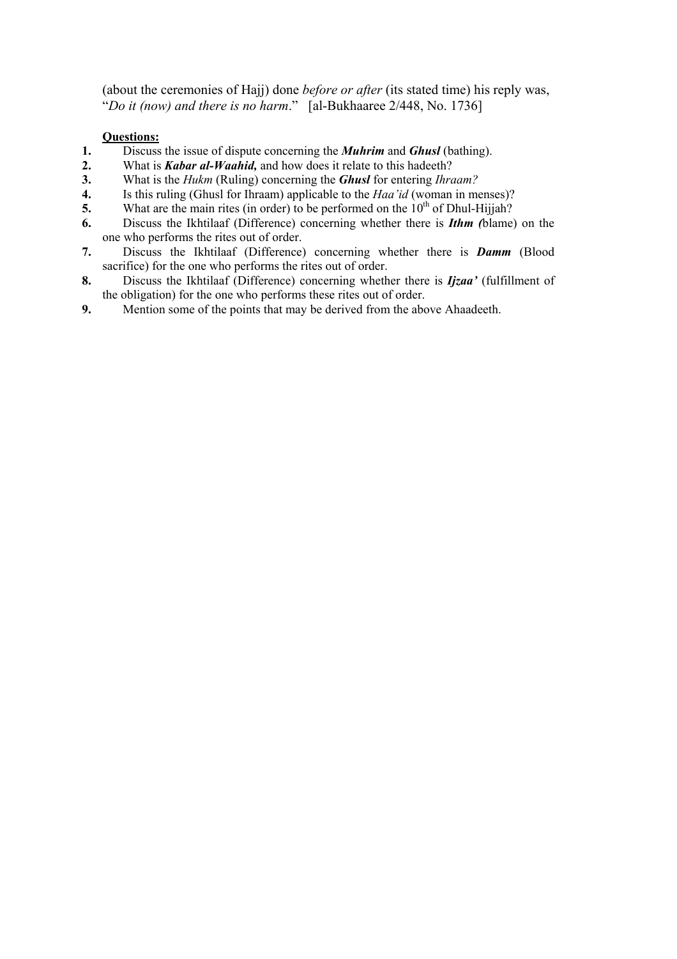(about the ceremonies of Hajj) done *before or after* (its stated time) his reply was, "*Do it (now) and there is no harm*." [al-Bukhaaree 2/448, No. 1736]

- **1.** Discuss the issue of dispute concerning the *Muhrim* and *Ghusl* (bathing).
- **2.** What is *Kabar al-Waahid,* and how does it relate to this hadeeth?
- **3.** What is the *Hukm* (Ruling) concerning the *Ghusl* for entering *Ihraam?*
- **4.** Is this ruling (Ghusl for Ihraam) applicable to the *Haa'id* (woman in menses)?
- **5.** What are the main rites (in order) to be performed on the  $10<sup>th</sup>$  of Dhul-Hijjah?
- **6.** Discuss the Ikhtilaaf (Difference) concerning whether there is *Ithm (*blame) on the one who performs the rites out of order.
- **7.** Discuss the Ikhtilaaf (Difference) concerning whether there is *Damm* (Blood sacrifice) for the one who performs the rites out of order.
- **8.** Discuss the Ikhtilaaf (Difference) concerning whether there is *Ijzaa'* (fulfillment of the obligation) for the one who performs these rites out of order.
- **9.** Mention some of the points that may be derived from the above Ahaadeeth.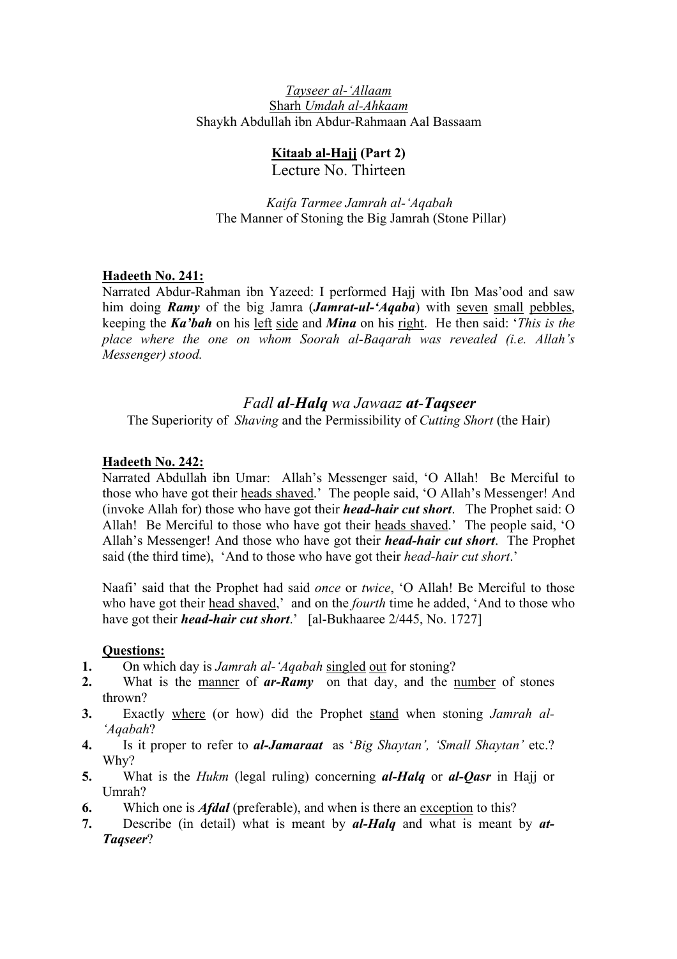## **Kitaab al-Hajj (Part 2)** Lecture No. Thirteen

*Kaifa Tarmee Jamrah al-'Aqabah*  The Manner of Stoning the Big Jamrah (Stone Pillar)

### **Hadeeth No. 241:**

Narrated Abdur-Rahman ibn Yazeed: I performed Hajj with Ibn Mas'ood and saw him doing *Ramy* of the big Jamra (*Jamrat-ul-'Aqaba*) with seven small pebbles, keeping the *Ka'bah* on his left side and *Mina* on his right. He then said: '*This is the place where the one on whom Soorah al-Baqarah was revealed (i.e. Allah's Messenger) stood.* 

## *Fadl al-Halq wa Jawaaz at-Taqseer*

The Superiority of *Shaving* and the Permissibility of *Cutting Short* (the Hair)

### **Hadeeth No. 242:**

Narrated Abdullah ibn Umar: Allah's Messenger said, 'O Allah! Be Merciful to those who have got their heads shaved.' The people said, 'O Allah's Messenger! And (invoke Allah for) those who have got their *head-hair cut short*. The Prophet said: O Allah! Be Merciful to those who have got their heads shaved.' The people said, 'O Allah's Messenger! And those who have got their *head-hair cut short*. The Prophet said (the third time), 'And to those who have got their *head-hair cut short*.'

Naafi' said that the Prophet had said *once* or *twice*, 'O Allah! Be Merciful to those who have got their head shaved,' and on the *fourth* time he added, 'And to those who have got their *head-hair cut short*.' [al-Bukhaaree 2/445, No. 1727]

- **1.** On which day is *Jamrah al-'Aqabah* singled out for stoning?
- **2.** What is the manner of *ar-Ramy* on that day, and the number of stones thrown?
- **3.** Exactly where (or how) did the Prophet stand when stoning *Jamrah al- 'Aqabah*?
- **4.** Is it proper to refer to *al-Jamaraat* as '*Big Shaytan', 'Small Shaytan'* etc.? Why?
- **5.** What is the *Hukm* (legal ruling) concerning *al-Halq* or *al-Qasr* in Hajj or Umrah?
- **6.** Which one is *Afdal* (preferable), and when is there an exception to this?
- **7.** Describe (in detail) what is meant by *al-Halq* and what is meant by *at-Taqseer*?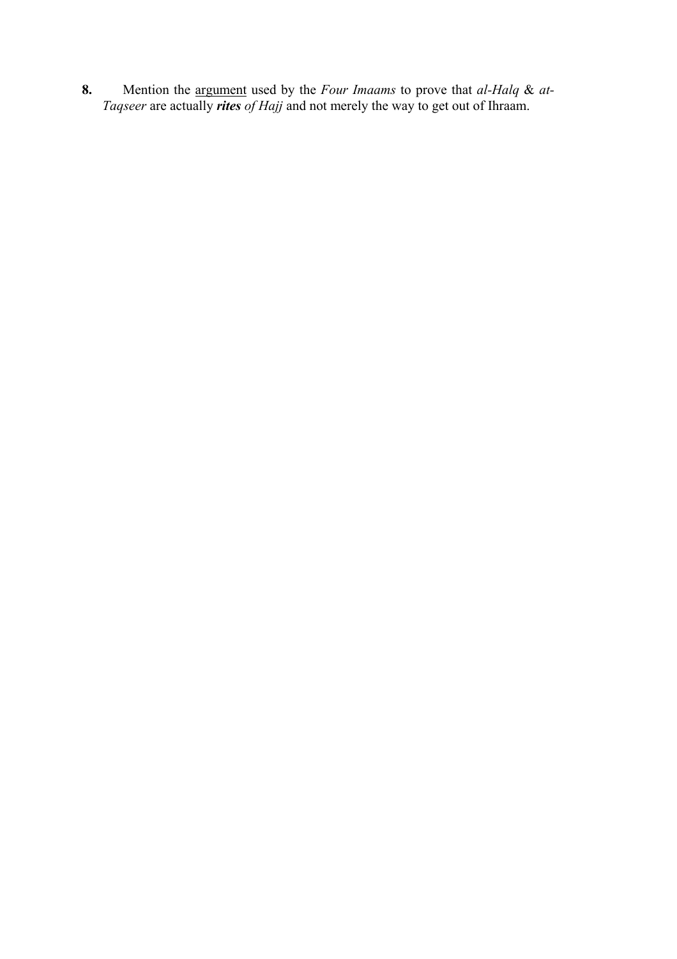**8.** Mention the argument used by the *Four Imaams* to prove that *al-Halq* & *at-Taqseer* are actually *rites of Hajj* and not merely the way to get out of Ihraam.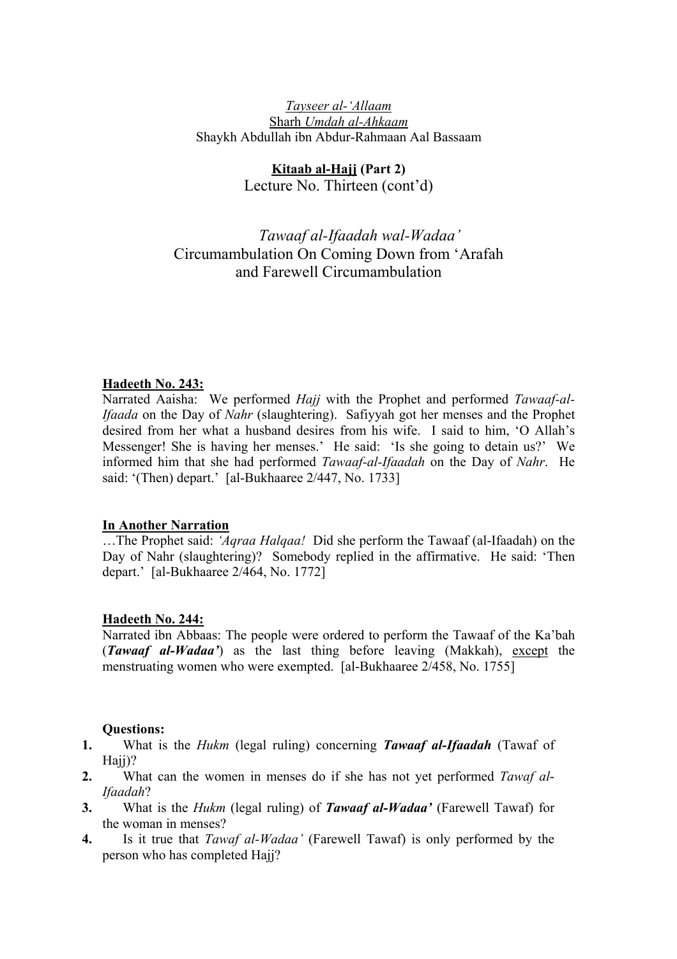# **Kitaab al-Hajj (Part 2)**

Lecture No. Thirteen (cont'd)

# *Tawaaf al-Ifaadah wal-Wadaa'*  Circumambulation On Coming Down from 'Arafah and Farewell Circumambulation

## **Hadeeth No. 243:**

Narrated Aaisha: We performed *Hajj* with the Prophet and performed *Tawaaf-al-Ifaada* on the Day of *Nahr* (slaughtering). Safiyyah got her menses and the Prophet desired from her what a husband desires from his wife. I said to him, 'O Allah's Messenger! She is having her menses.' He said: 'Is she going to detain us?' We informed him that she had performed *Tawaaf-al-Ifaadah* on the Day of *Nahr*. He said: '(Then) depart.' [al-Bukhaaree 2/447, No. 1733]

### **In Another Narration**

…The Prophet said: *'Aqraa Halqaa!* Did she perform the Tawaaf (al-Ifaadah) on the Day of Nahr (slaughtering)? Somebody replied in the affirmative. He said: 'Then depart.' [al-Bukhaaree 2/464, No. 1772]

## **Hadeeth No. 244:**

Narrated ibn Abbaas: The people were ordered to perform the Tawaaf of the Ka'bah (*Tawaaf al-Wadaa'*) as the last thing before leaving (Makkah), except the menstruating women who were exempted. [al-Bukhaaree 2/458, No. 1755]

- **1.** What is the *Hukm* (legal ruling) concerning *Tawaaf al-Ifaadah* (Tawaf of Hajj)?
- **2.** What can the women in menses do if she has not yet performed *Tawaf al*-*Ifaadah*?
- **3.** What is the *Hukm* (legal ruling) of *Tawaaf al-Wadaa'* (Farewell Tawaf) for the woman in menses?
- **4.** Is it true that *Tawaf al-Wadaa'* (Farewell Tawaf) is only performed by the person who has completed Hajj?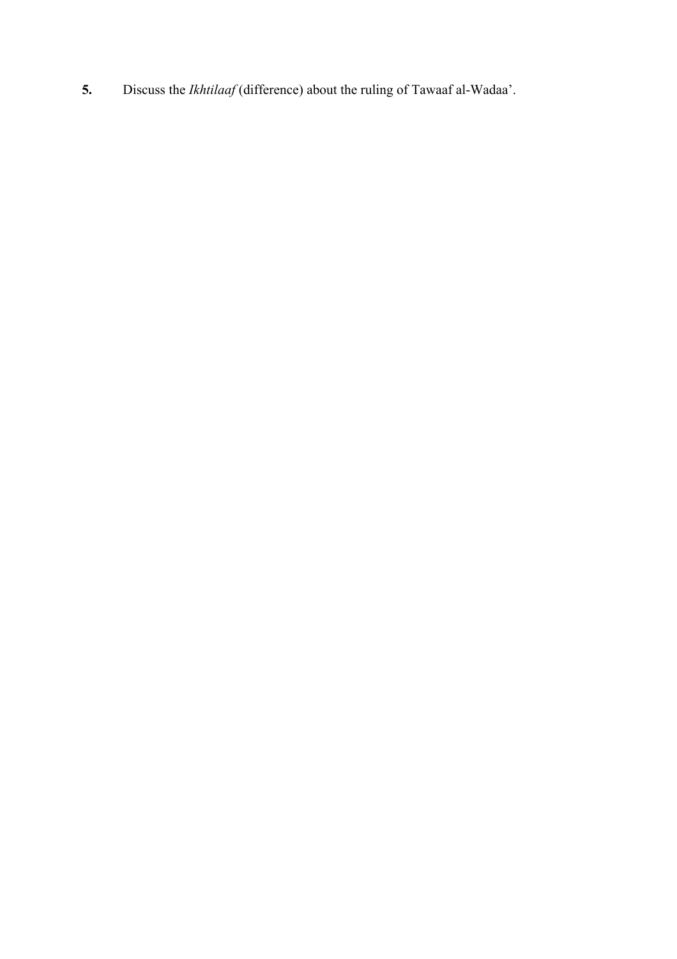**5.** Discuss the *Ikhtilaaf* (difference) about the ruling of Tawaaf al-Wadaa'.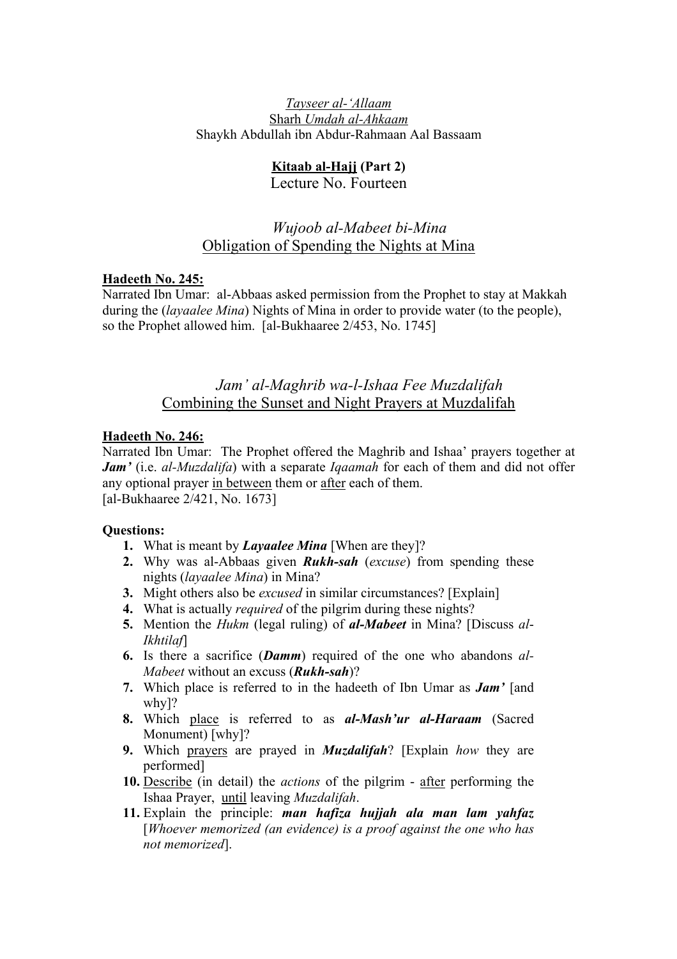## **Kitaab al-Hajj (Part 2)**

Lecture No. Fourteen

# *Wujoob al-Mabeet bi-Mina*  Obligation of Spending the Nights at Mina

## **Hadeeth No. 245:**

Narrated Ibn Umar: al-Abbaas asked permission from the Prophet to stay at Makkah during the (*layaalee Mina*) Nights of Mina in order to provide water (to the people), so the Prophet allowed him. [al-Bukhaaree 2/453, No. 1745]

# *Jam' al-Maghrib wa-l-Ishaa Fee Muzdalifah*  Combining the Sunset and Night Prayers at Muzdalifah

## **Hadeeth No. 246:**

Narrated Ibn Umar: The Prophet offered the Maghrib and Ishaa' prayers together at *Jam'* (i.e. *al-Muzdalifa*) with a separate *Iqaamah* for each of them and did not offer any optional prayer in between them or after each of them. [al-Bukhaaree 2/421, No. 1673]

- **1.** What is meant by *Layaalee Mina* [When are they]?
- **2.** Why was al-Abbaas given *Rukh-sah* (*excuse*) from spending these nights (*layaalee Mina*) in Mina?
- **3.** Might others also be *excused* in similar circumstances? [Explain]
- **4.** What is actually *required* of the pilgrim during these nights?
- **5.** Mention the *Hukm* (legal ruling) of *al-Mabeet* in Mina? [Discuss *al*-*Ikhtilaf*]
- **6.** Is there a sacrifice (*Damm*) required of the one who abandons *al-Mabeet* without an excuss (*Rukh-sah*)?
- **7.** Which place is referred to in the hadeeth of Ibn Umar as *Jam'* [and why]?
- **8.** Which place is referred to as *al-Mash'ur al-Haraam* (Sacred Monument) [why]?
- **9.** Which prayers are prayed in *Muzdalifah*? [Explain *how* they are performed]
- **10.** Describe (in detail) the *actions* of the pilgrim after performing the Ishaa Prayer, until leaving *Muzdalifah*.
- **11.** Explain the principle: *man hafiza hujjah ala man lam yahfaz* [*Whoever memorized (an evidence) is a proof against the one who has not memorized*].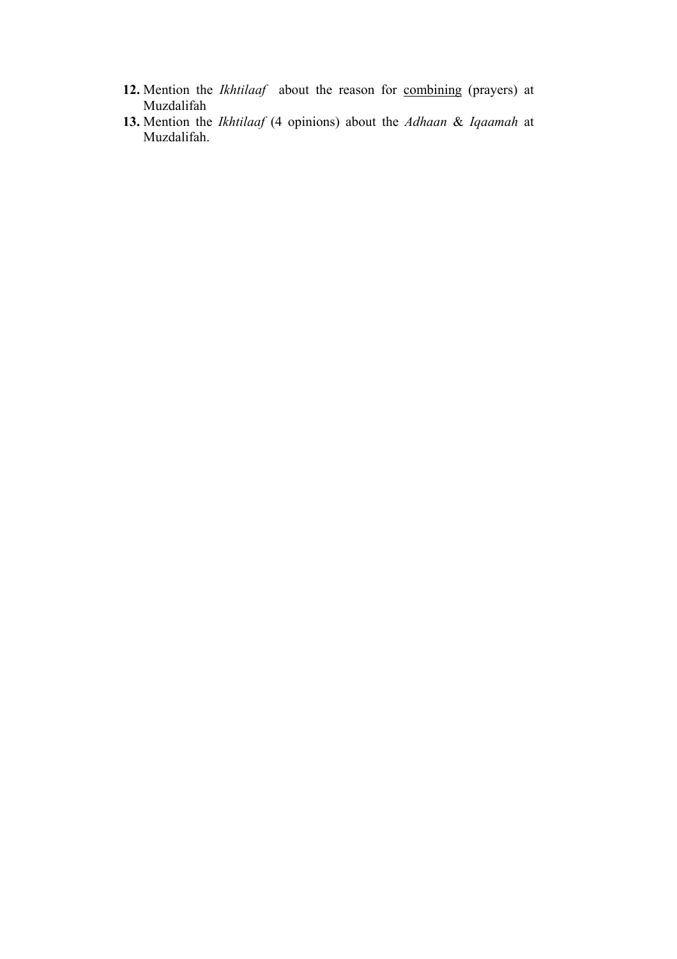- **12.** Mention the *Ikhtilaaf* about the reason for combining (prayers) at Muzdalifah
- **13.** Mention the *Ikhtilaaf* (4 opinions) about the *Adhaan* & *Iqaamah* at Muzdalifah.